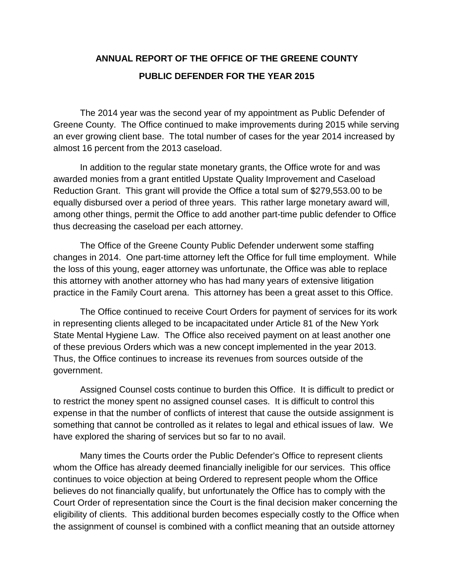## **ANNUAL REPORT OF THE OFFICE OF THE GREENE COUNTY PUBLIC DEFENDER FOR THE YEAR 2015**

The 2014 year was the second year of my appointment as Public Defender of Greene County. The Office continued to make improvements during 2015 while serving an ever growing client base. The total number of cases for the year 2014 increased by almost 16 percent from the 2013 caseload.

In addition to the regular state monetary grants, the Office wrote for and was awarded monies from a grant entitled Upstate Quality Improvement and Caseload Reduction Grant. This grant will provide the Office a total sum of \$279,553.00 to be equally disbursed over a period of three years. This rather large monetary award will, among other things, permit the Office to add another part-time public defender to Office thus decreasing the caseload per each attorney.

The Office of the Greene County Public Defender underwent some staffing changes in 2014. One part-time attorney left the Office for full time employment. While the loss of this young, eager attorney was unfortunate, the Office was able to replace this attorney with another attorney who has had many years of extensive litigation practice in the Family Court arena. This attorney has been a great asset to this Office.

The Office continued to receive Court Orders for payment of services for its work in representing clients alleged to be incapacitated under Article 81 of the New York State Mental Hygiene Law. The Office also received payment on at least another one of these previous Orders which was a new concept implemented in the year 2013. Thus, the Office continues to increase its revenues from sources outside of the government.

Assigned Counsel costs continue to burden this Office. It is difficult to predict or to restrict the money spent no assigned counsel cases. It is difficult to control this expense in that the number of conflicts of interest that cause the outside assignment is something that cannot be controlled as it relates to legal and ethical issues of law. We have explored the sharing of services but so far to no avail.

Many times the Courts order the Public Defender's Office to represent clients whom the Office has already deemed financially ineligible for our services. This office continues to voice objection at being Ordered to represent people whom the Office believes do not financially qualify, but unfortunately the Office has to comply with the Court Order of representation since the Court is the final decision maker concerning the eligibility of clients. This additional burden becomes especially costly to the Office when the assignment of counsel is combined with a conflict meaning that an outside attorney